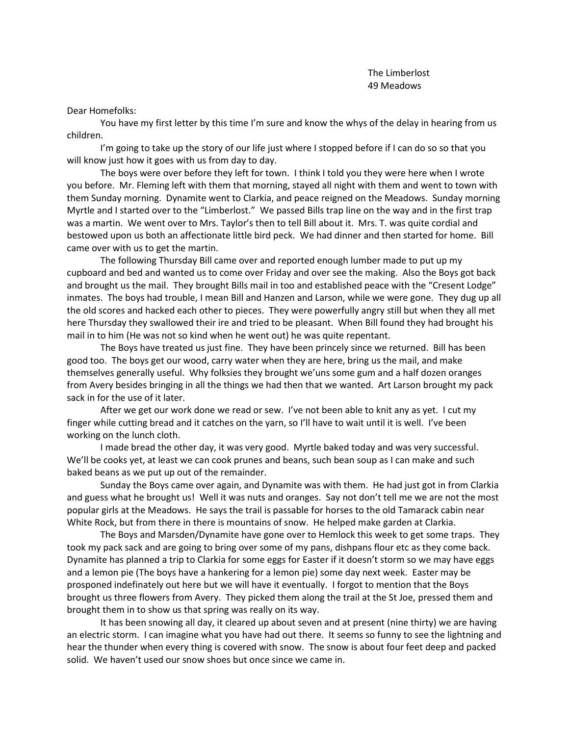Dear Homefolks:

You have my first letter by this time I'm sure and know the whys of the delay in hearing from us children.

I'm going to take up the story of our life just where I stopped before if I can do so so that you will know just how it goes with us from day to day.

The boys were over before they left for town. I think I told you they were here when I wrote you before. Mr. Fleming left with them that morning, stayed all night with them and went to town with them Sunday morning. Dynamite went to Clarkia, and peace reigned on the Meadows. Sunday morning Myrtle and I started over to the "Limberlost." We passed Bills trap line on the way and in the first trap was a martin. We went over to Mrs. Taylor's then to tell Bill about it. Mrs. T. was quite cordial and bestowed upon us both an affectionate little bird peck. We had dinner and then started for home. Bill came over with us to get the martin.

The following Thursday Bill came over and reported enough lumber made to put up my cupboard and bed and wanted us to come over Friday and over see the making. Also the Boys got back and brought us the mail. They brought Bills mail in too and established peace with the "Cresent Lodge" inmates. The boys had trouble, I mean Bill and Hanzen and Larson, while we were gone. They dug up all the old scores and hacked each other to pieces. They were powerfully angry still but when they all met here Thursday they swallowed their ire and tried to be pleasant. When Bill found they had brought his mail in to him (He was not so kind when he went out) he was quite repentant.

The Boys have treated us just fine. They have been princely since we returned. Bill has been good too. The boys get our wood, carry water when they are here, bring us the mail, and make themselves generally useful. Why folksies they brought we'uns some gum and a half dozen oranges from Avery besides bringing in all the things we had then that we wanted. Art Larson brought my pack sack in for the use of it later.

After we get our work done we read or sew. I've not been able to knit any as yet. I cut my finger while cutting bread and it catches on the yarn, so I'll have to wait until it is well. I've been working on the lunch cloth.

I made bread the other day, it was very good. Myrtle baked today and was very successful. We'll be cooks yet, at least we can cook prunes and beans, such bean soup as I can make and such baked beans as we put up out of the remainder.

Sunday the Boys came over again, and Dynamite was with them. He had just got in from Clarkia and guess what he brought us! Well it was nuts and oranges. Say not don't tell me we are not the most popular girls at the Meadows. He says the trail is passable for horses to the old Tamarack cabin near White Rock, but from there in there is mountains of snow. He helped make garden at Clarkia.

The Boys and Marsden/Dynamite have gone over to Hemlock this week to get some traps. They took my pack sack and are going to bring over some of my pans, dishpans flour etc as they come back. Dynamite has planned a trip to Clarkia for some eggs for Easter if it doesn't storm so we may have eggs and a lemon pie (The boys have a hankering for a lemon pie) some day next week. Easter may be prosponed indefinately out here but we will have it eventually. I forgot to mention that the Boys brought us three flowers from Avery. They picked them along the trail at the St Joe, pressed them and brought them in to show us that spring was really on its way.

It has been snowing all day, it cleared up about seven and at present (nine thirty) we are having an electric storm. I can imagine what you have had out there. It seems so funny to see the lightning and hear the thunder when every thing is covered with snow. The snow is about four feet deep and packed solid. We haven't used our snow shoes but once since we came in.